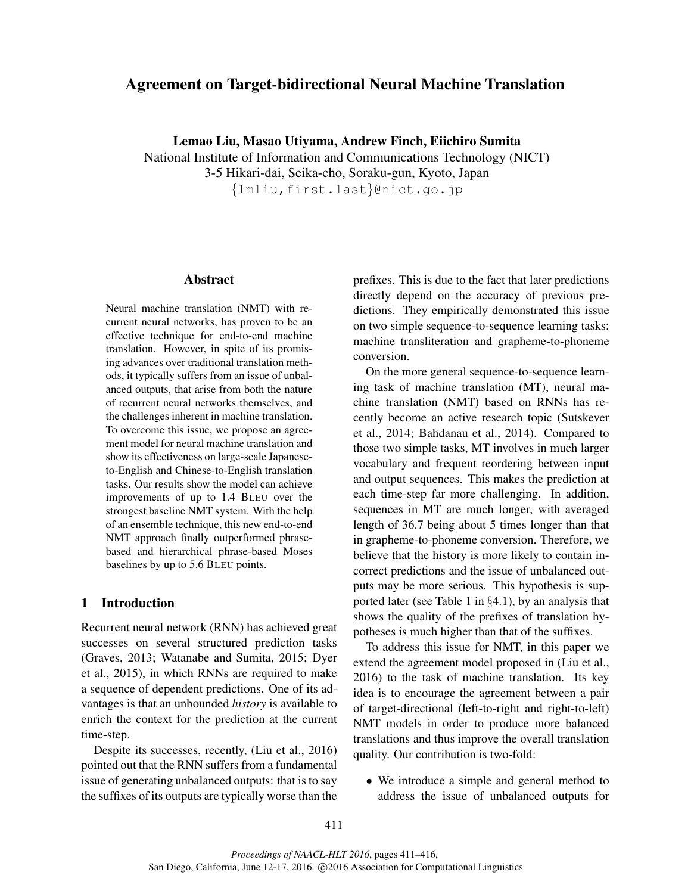# Agreement on Target-bidirectional Neural Machine Translation

Lemao Liu, Masao Utiyama, Andrew Finch, Eiichiro Sumita National Institute of Information and Communications Technology (NICT) 3-5 Hikari-dai, Seika-cho, Soraku-gun, Kyoto, Japan {lmliu,first.last}@nict.go.jp

#### Abstract

Neural machine translation (NMT) with recurrent neural networks, has proven to be an effective technique for end-to-end machine translation. However, in spite of its promising advances over traditional translation methods, it typically suffers from an issue of unbalanced outputs, that arise from both the nature of recurrent neural networks themselves, and the challenges inherent in machine translation. To overcome this issue, we propose an agreement model for neural machine translation and show its effectiveness on large-scale Japaneseto-English and Chinese-to-English translation tasks. Our results show the model can achieve improvements of up to 1.4 BLEU over the strongest baseline NMT system. With the help of an ensemble technique, this new end-to-end NMT approach finally outperformed phrasebased and hierarchical phrase-based Moses baselines by up to 5.6 BLEU points.

## 1 Introduction

Recurrent neural network (RNN) has achieved great successes on several structured prediction tasks (Graves, 2013; Watanabe and Sumita, 2015; Dyer et al., 2015), in which RNNs are required to make a sequence of dependent predictions. One of its advantages is that an unbounded *history* is available to enrich the context for the prediction at the current time-step.

Despite its successes, recently, (Liu et al., 2016) pointed out that the RNN suffers from a fundamental issue of generating unbalanced outputs: that is to say the suffixes of its outputs are typically worse than the prefixes. This is due to the fact that later predictions directly depend on the accuracy of previous predictions. They empirically demonstrated this issue on two simple sequence-to-sequence learning tasks: machine transliteration and grapheme-to-phoneme conversion.

On the more general sequence-to-sequence learning task of machine translation (MT), neural machine translation (NMT) based on RNNs has recently become an active research topic (Sutskever et al., 2014; Bahdanau et al., 2014). Compared to those two simple tasks, MT involves in much larger vocabulary and frequent reordering between input and output sequences. This makes the prediction at each time-step far more challenging. In addition, sequences in MT are much longer, with averaged length of 36.7 being about 5 times longer than that in grapheme-to-phoneme conversion. Therefore, we believe that the history is more likely to contain incorrect predictions and the issue of unbalanced outputs may be more serious. This hypothesis is supported later (see Table 1 in  $\S 4.1$ ), by an analysis that shows the quality of the prefixes of translation hypotheses is much higher than that of the suffixes.

To address this issue for NMT, in this paper we extend the agreement model proposed in (Liu et al., 2016) to the task of machine translation. Its key idea is to encourage the agreement between a pair of target-directional (left-to-right and right-to-left) NMT models in order to produce more balanced translations and thus improve the overall translation quality. Our contribution is two-fold:

• We introduce a simple and general method to address the issue of unbalanced outputs for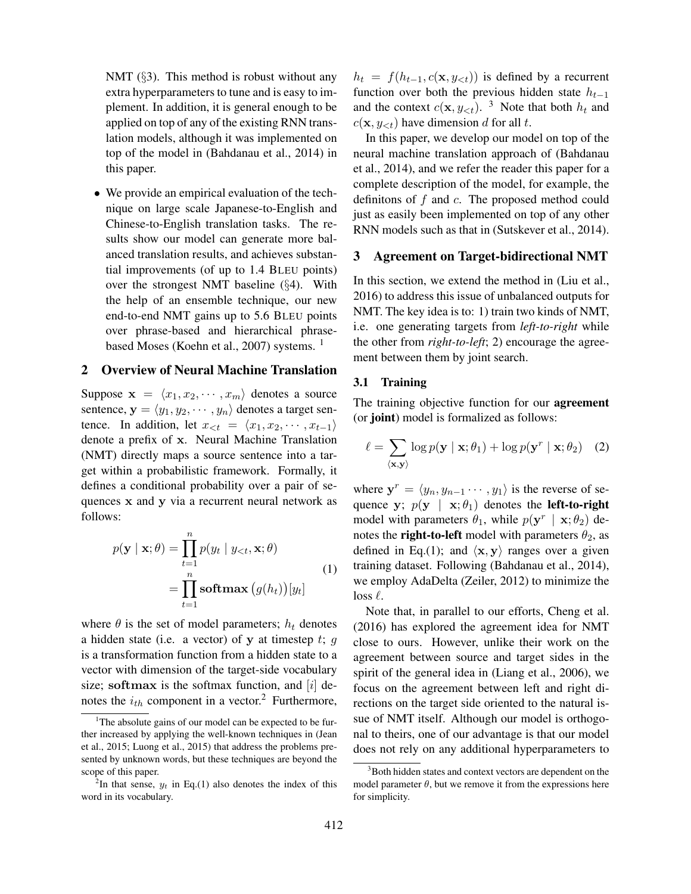NMT  $(\S$ 3). This method is robust without any extra hyperparameters to tune and is easy to implement. In addition, it is general enough to be applied on top of any of the existing RNN translation models, although it was implemented on top of the model in (Bahdanau et al., 2014) in this paper.

• We provide an empirical evaluation of the technique on large scale Japanese-to-English and Chinese-to-English translation tasks. The results show our model can generate more balanced translation results, and achieves substantial improvements (of up to 1.4 BLEU points) over the strongest NMT baseline (§4). With the help of an ensemble technique, our new end-to-end NMT gains up to 5.6 BLEU points over phrase-based and hierarchical phrasebased Moses (Koehn et al., 2007) systems.<sup>1</sup>

### 2 Overview of Neural Machine Translation

Suppose  $\mathbf{x} = \langle x_1, x_2, \cdots, x_m \rangle$  denotes a source sentence,  $y = \langle y_1, y_2, \dots, y_n \rangle$  denotes a target sentence. In addition, let  $x_{\leq t} = \langle x_1, x_2, \cdots, x_{t-1} \rangle$ denote a prefix of x. Neural Machine Translation (NMT) directly maps a source sentence into a target within a probabilistic framework. Formally, it defines a conditional probability over a pair of sequences x and y via a recurrent neural network as follows:

$$
p(\mathbf{y} \mid \mathbf{x}; \theta) = \prod_{t=1}^{n} p(y_t \mid y_{< t}, \mathbf{x}; \theta)
$$

$$
= \prod_{t=1}^{n} \operatorname{softmax}(g(h_t))[y_t]
$$
(1)

where  $\theta$  is the set of model parameters;  $h_t$  denotes a hidden state (i.e. a vector) of y at timestep  $t$ ;  $g$ is a transformation function from a hidden state to a vector with dimension of the target-side vocabulary size; softmax is the softmax function, and  $[i]$  denotes the  $i_{th}$  component in a vector.<sup>2</sup> Furthermore,  $h_t = f(h_{t-1}, c(\mathbf{x}, y_{<}; t))$  is defined by a recurrent function over both the previous hidden state  $h_{t-1}$ and the context  $c(\mathbf{x}, y_{\leq t})$ . <sup>3</sup> Note that both  $h_t$  and  $c(\mathbf{x}, y_{\leq t})$  have dimension d for all t.

In this paper, we develop our model on top of the neural machine translation approach of (Bahdanau et al., 2014), and we refer the reader this paper for a complete description of the model, for example, the definitons of  $f$  and  $c$ . The proposed method could just as easily been implemented on top of any other RNN models such as that in (Sutskever et al., 2014).

### 3 Agreement on Target-bidirectional NMT

In this section, we extend the method in (Liu et al., 2016) to address this issue of unbalanced outputs for NMT. The key idea is to: 1) train two kinds of NMT, i.e. one generating targets from *left-to-right* while the other from *right-to-left*; 2) encourage the agreement between them by joint search.

#### 3.1 Training

The training objective function for our **agreement** (or joint) model is formalized as follows:

$$
\ell = \sum_{\langle \mathbf{x}, \mathbf{y} \rangle} \log p(\mathbf{y} \mid \mathbf{x}; \theta_1) + \log p(\mathbf{y}^r \mid \mathbf{x}; \theta_2) \quad (2)
$$

where  $y^r = \langle y_n, y_{n-1} \cdots, y_1 \rangle$  is the reverse of sequence y;  $p(y | x; \theta_1)$  denotes the **left-to-right** model with parameters  $\theta_1$ , while  $p(\mathbf{y}^r | \mathbf{x}; \theta_2)$  denotes the **right-to-left** model with parameters  $\theta_2$ , as defined in Eq.(1); and  $\langle x, y \rangle$  ranges over a given training dataset. Following (Bahdanau et al., 2014), we employ AdaDelta (Zeiler, 2012) to minimize the loss  $\ell$ .

Note that, in parallel to our efforts, Cheng et al. (2016) has explored the agreement idea for NMT close to ours. However, unlike their work on the agreement between source and target sides in the spirit of the general idea in (Liang et al., 2006), we focus on the agreement between left and right directions on the target side oriented to the natural issue of NMT itself. Although our model is orthogonal to theirs, one of our advantage is that our model does not rely on any additional hyperparameters to

<sup>&</sup>lt;sup>1</sup>The absolute gains of our model can be expected to be further increased by applying the well-known techniques in (Jean et al., 2015; Luong et al., 2015) that address the problems presented by unknown words, but these techniques are beyond the scope of this paper.

<sup>&</sup>lt;sup>2</sup>In that sense,  $y_t$  in Eq.(1) also denotes the index of this word in its vocabulary.

<sup>&</sup>lt;sup>3</sup>Both hidden states and context vectors are dependent on the model parameter  $\theta$ , but we remove it from the expressions here for simplicity.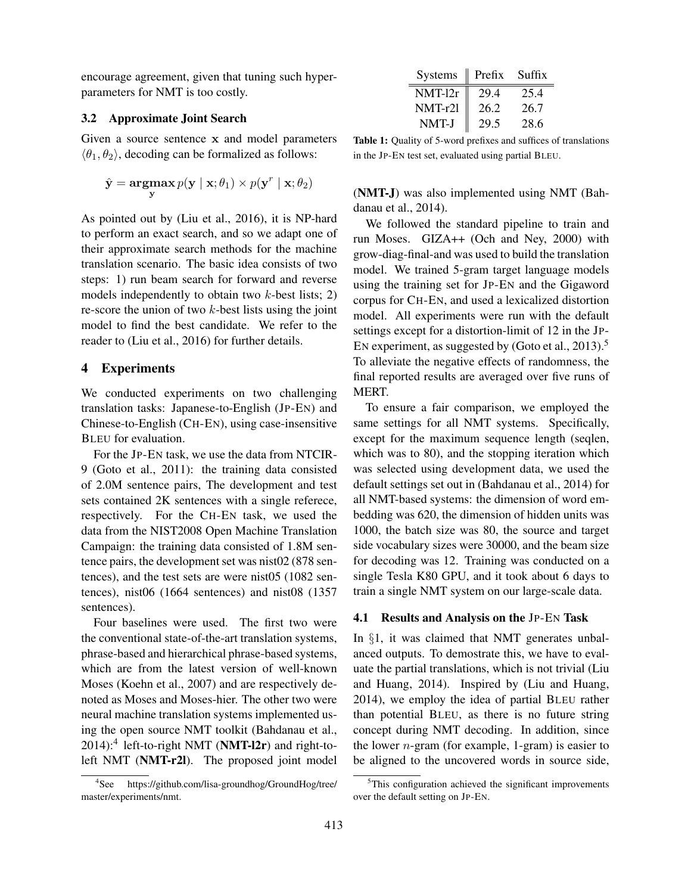encourage agreement, given that tuning such hyperparameters for NMT is too costly.

## 3.2 Approximate Joint Search

Given a source sentence x and model parameters  $\langle \theta_1, \theta_2 \rangle$ , decoding can be formalized as follows:

$$
\hat{\mathbf{y}} = \operatorname*{argmax}_{\mathbf{y}} p(\mathbf{y} \mid \mathbf{x}; \theta_1) \times p(\mathbf{y}^r \mid \mathbf{x}; \theta_2)
$$

As pointed out by (Liu et al., 2016), it is NP-hard to perform an exact search, and so we adapt one of their approximate search methods for the machine translation scenario. The basic idea consists of two steps: 1) run beam search for forward and reverse models independently to obtain two  $k$ -best lists; 2) re-score the union of two  $k$ -best lists using the joint model to find the best candidate. We refer to the reader to (Liu et al., 2016) for further details.

## 4 Experiments

We conducted experiments on two challenging translation tasks: Japanese-to-English (JP-EN) and Chinese-to-English (CH-EN), using case-insensitive BLEU for evaluation.

For the JP-EN task, we use the data from NTCIR-9 (Goto et al., 2011): the training data consisted of 2.0M sentence pairs, The development and test sets contained 2K sentences with a single referece, respectively. For the CH-EN task, we used the data from the NIST2008 Open Machine Translation Campaign: the training data consisted of 1.8M sentence pairs, the development set was nist02 (878 sentences), and the test sets are were nist05 (1082 sentences), nist06 (1664 sentences) and nist08 (1357 sentences).

Four baselines were used. The first two were the conventional state-of-the-art translation systems, phrase-based and hierarchical phrase-based systems, which are from the latest version of well-known Moses (Koehn et al., 2007) and are respectively denoted as Moses and Moses-hier. The other two were neural machine translation systems implemented using the open source NMT toolkit (Bahdanau et al.,  $2014$ :<sup>4</sup> left-to-right NMT (NMT-l2r) and right-toleft NMT (NMT-r2l). The proposed joint model

| $Systems \parallel Prefx$ |      | Suffix |
|---------------------------|------|--------|
| $NMT-12r$                 | 29.4 | 25.4   |
| NMT-r2l                   | 26.2 | 26.7   |
| NMT-J                     | 29.5 | 28.6   |

Table 1: Quality of 5-word prefixes and suffices of translations in the JP-EN test set, evaluated using partial BLEU.

(NMT-J) was also implemented using NMT (Bahdanau et al., 2014).

We followed the standard pipeline to train and run Moses. GIZA++ (Och and Ney, 2000) with grow-diag-final-and was used to build the translation model. We trained 5-gram target language models using the training set for JP-EN and the Gigaword corpus for CH-EN, and used a lexicalized distortion model. All experiments were run with the default settings except for a distortion-limit of 12 in the JP-EN experiment, as suggested by (Goto et al., 2013).<sup>5</sup> To alleviate the negative effects of randomness, the final reported results are averaged over five runs of MERT.

To ensure a fair comparison, we employed the same settings for all NMT systems. Specifically, except for the maximum sequence length (seqlen, which was to 80), and the stopping iteration which was selected using development data, we used the default settings set out in (Bahdanau et al., 2014) for all NMT-based systems: the dimension of word embedding was 620, the dimension of hidden units was 1000, the batch size was 80, the source and target side vocabulary sizes were 30000, and the beam size for decoding was 12. Training was conducted on a single Tesla K80 GPU, and it took about 6 days to train a single NMT system on our large-scale data.

#### 4.1 Results and Analysis on the JP-EN Task

In §1, it was claimed that NMT generates unbalanced outputs. To demostrate this, we have to evaluate the partial translations, which is not trivial (Liu and Huang, 2014). Inspired by (Liu and Huang, 2014), we employ the idea of partial BLEU rather than potential BLEU, as there is no future string concept during NMT decoding. In addition, since the lower  $n$ -gram (for example, 1-gram) is easier to be aligned to the uncovered words in source side,

 $4$ See https://github.com/lisa-groundhog/GroundHog/tree/ master/experiments/nmt.

 $5$ This configuration achieved the significant improvements over the default setting on JP-EN.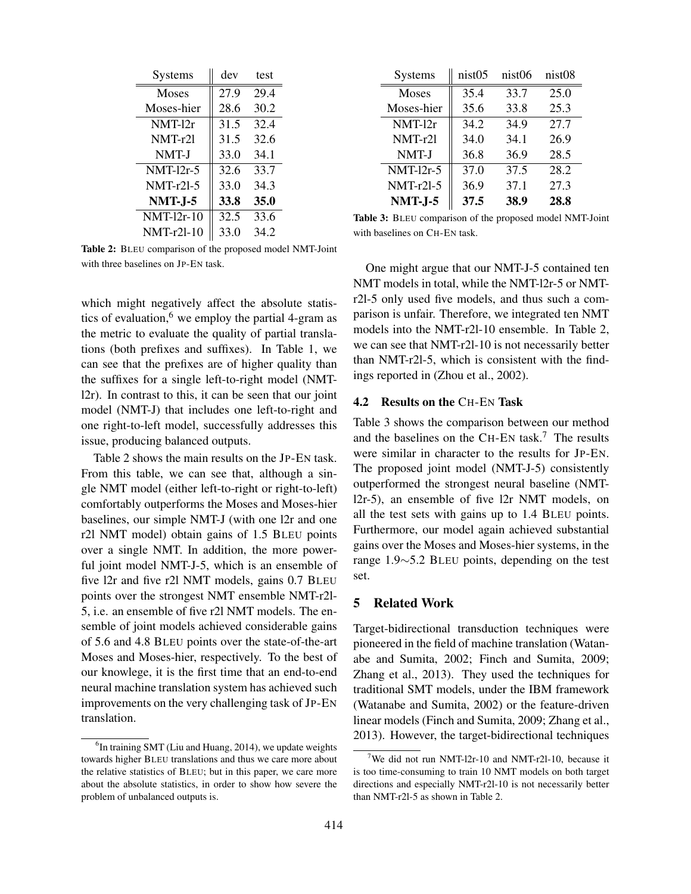| Systems           | dev  | test |
|-------------------|------|------|
| <b>Moses</b>      | 27.9 | 29.4 |
| Moses-hier        | 28.6 | 30.2 |
| NMT-12r           | 31.5 | 32.4 |
| $NMT-r21$         | 31.5 | 32.6 |
| NMT-J             | 33.0 | 34.1 |
| $NMT-12r-5$       | 32.6 | 33.7 |
| <b>NMT-r21-5</b>  | 33.0 | 34.3 |
| <b>NMT-J-5</b>    | 33.8 | 35.0 |
| <b>NMT-12r-10</b> | 32.5 | 33.6 |
| <b>NMT-r2l-10</b> | 33.0 | 34.2 |

Systems || nist05 nist06 nist08 Moses 35.4 33.7 25.0 Moses-hier | 35.6 33.8 25.3  $NMT-12r$  34.2 34.9 27.7 NMT-r2l || 34.0 34.1 26.9 NMT-J || 36.8 36.9 28.5 NMT-12r-5  $\parallel$  37.0 37.5 28.2 NMT-r2l-5  $\parallel$  36.9 37.1 27.3 NMT-J-5 37.5 38.9 28.8

Table 3: BLEU comparison of the proposed model NMT-Joint with baselines on CH-EN task.

Table 2: BLEU comparison of the proposed model NMT-Joint with three baselines on JP-EN task.

which might negatively affect the absolute statistics of evaluation, $6$  we employ the partial 4-gram as the metric to evaluate the quality of partial translations (both prefixes and suffixes). In Table 1, we can see that the prefixes are of higher quality than the suffixes for a single left-to-right model (NMTl2r). In contrast to this, it can be seen that our joint model (NMT-J) that includes one left-to-right and one right-to-left model, successfully addresses this issue, producing balanced outputs.

Table 2 shows the main results on the JP-EN task. From this table, we can see that, although a single NMT model (either left-to-right or right-to-left) comfortably outperforms the Moses and Moses-hier baselines, our simple NMT-J (with one l2r and one r2l NMT model) obtain gains of 1.5 BLEU points over a single NMT. In addition, the more powerful joint model NMT-J-5, which is an ensemble of five l2r and five r2l NMT models, gains 0.7 BLEU points over the strongest NMT ensemble NMT-r2l-5, i.e. an ensemble of five r2l NMT models. The ensemble of joint models achieved considerable gains of 5.6 and 4.8 BLEU points over the state-of-the-art Moses and Moses-hier, respectively. To the best of our knowlege, it is the first time that an end-to-end neural machine translation system has achieved such improvements on the very challenging task of JP-EN translation.

One might argue that our NMT-J-5 contained ten NMT models in total, while the NMT-l2r-5 or NMTr2l-5 only used five models, and thus such a comparison is unfair. Therefore, we integrated ten NMT models into the NMT-r2l-10 ensemble. In Table 2, we can see that NMT-r2l-10 is not necessarily better than NMT-r2l-5, which is consistent with the findings reported in (Zhou et al., 2002).

### 4.2 Results on the CH-EN Task

Table 3 shows the comparison between our method and the baselines on the CH-EN task.<sup>7</sup> The results were similar in character to the results for JP-EN. The proposed joint model (NMT-J-5) consistently outperformed the strongest neural baseline (NMTl2r-5), an ensemble of five l2r NMT models, on all the test sets with gains up to 1.4 BLEU points. Furthermore, our model again achieved substantial gains over the Moses and Moses-hier systems, in the range 1.9∼5.2 BLEU points, depending on the test set.

## 5 Related Work

Target-bidirectional transduction techniques were pioneered in the field of machine translation (Watanabe and Sumita, 2002; Finch and Sumita, 2009; Zhang et al., 2013). They used the techniques for traditional SMT models, under the IBM framework (Watanabe and Sumita, 2002) or the feature-driven linear models (Finch and Sumita, 2009; Zhang et al., 2013). However, the target-bidirectional techniques

<sup>&</sup>lt;sup>6</sup>In training SMT (Liu and Huang, 2014), we update weights towards higher BLEU translations and thus we care more about the relative statistics of BLEU; but in this paper, we care more about the absolute statistics, in order to show how severe the problem of unbalanced outputs is.

<sup>&</sup>lt;sup>7</sup>We did not run NMT-12r-10 and NMT-r2l-10, because it is too time-consuming to train 10 NMT models on both target directions and especially NMT-r2l-10 is not necessarily better than NMT-r2l-5 as shown in Table 2.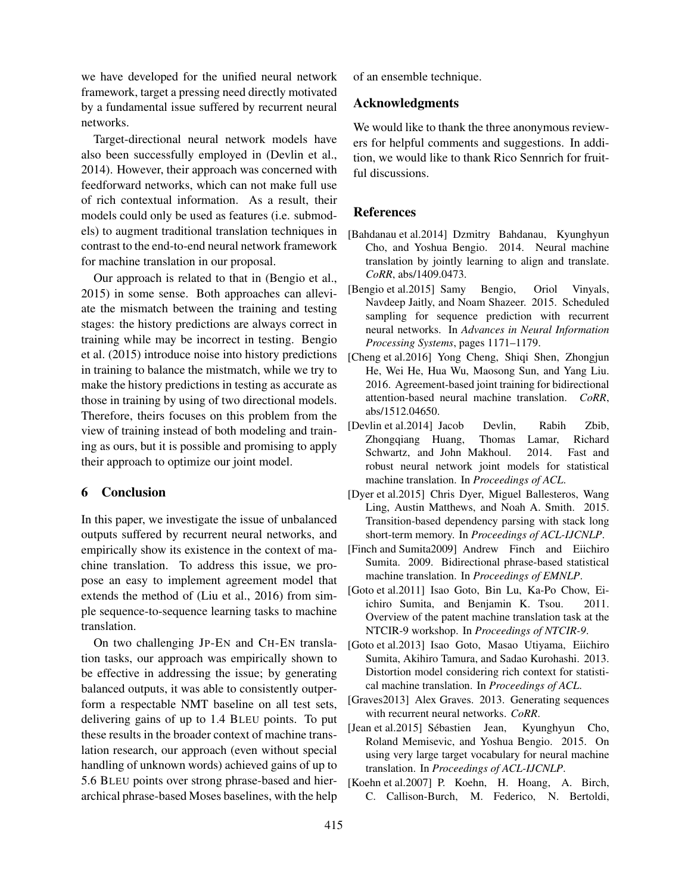we have developed for the unified neural network framework, target a pressing need directly motivated by a fundamental issue suffered by recurrent neural networks.

Target-directional neural network models have also been successfully employed in (Devlin et al., 2014). However, their approach was concerned with feedforward networks, which can not make full use of rich contextual information. As a result, their models could only be used as features (i.e. submodels) to augment traditional translation techniques in contrast to the end-to-end neural network framework for machine translation in our proposal.

Our approach is related to that in (Bengio et al., 2015) in some sense. Both approaches can alleviate the mismatch between the training and testing stages: the history predictions are always correct in training while may be incorrect in testing. Bengio et al. (2015) introduce noise into history predictions in training to balance the mistmatch, while we try to make the history predictions in testing as accurate as those in training by using of two directional models. Therefore, theirs focuses on this problem from the view of training instead of both modeling and training as ours, but it is possible and promising to apply their approach to optimize our joint model.

## 6 Conclusion

In this paper, we investigate the issue of unbalanced outputs suffered by recurrent neural networks, and empirically show its existence in the context of machine translation. To address this issue, we propose an easy to implement agreement model that extends the method of (Liu et al., 2016) from simple sequence-to-sequence learning tasks to machine translation.

On two challenging JP-EN and CH-EN translation tasks, our approach was empirically shown to be effective in addressing the issue; by generating balanced outputs, it was able to consistently outperform a respectable NMT baseline on all test sets, delivering gains of up to 1.4 BLEU points. To put these results in the broader context of machine translation research, our approach (even without special handling of unknown words) achieved gains of up to 5.6 BLEU points over strong phrase-based and hierarchical phrase-based Moses baselines, with the help of an ensemble technique.

## Acknowledgments

We would like to thank the three anonymous reviewers for helpful comments and suggestions. In addition, we would like to thank Rico Sennrich for fruitful discussions.

### References

- [Bahdanau et al.2014] Dzmitry Bahdanau, Kyunghyun Cho, and Yoshua Bengio. 2014. Neural machine translation by jointly learning to align and translate. *CoRR*, abs/1409.0473.
- [Bengio et al.2015] Samy Bengio, Oriol Vinyals, Navdeep Jaitly, and Noam Shazeer. 2015. Scheduled sampling for sequence prediction with recurrent neural networks. In *Advances in Neural Information Processing Systems*, pages 1171–1179.
- [Cheng et al.2016] Yong Cheng, Shiqi Shen, Zhongjun He, Wei He, Hua Wu, Maosong Sun, and Yang Liu. 2016. Agreement-based joint training for bidirectional attention-based neural machine translation. *CoRR*, abs/1512.04650.
- [Devlin et al.2014] Jacob Devlin, Rabih Zbib, Zhongqiang Huang, Thomas Lamar, Richard Schwartz, and John Makhoul. 2014. Fast and robust neural network joint models for statistical machine translation. In *Proceedings of ACL*.
- [Dyer et al.2015] Chris Dyer, Miguel Ballesteros, Wang Ling, Austin Matthews, and Noah A. Smith. 2015. Transition-based dependency parsing with stack long short-term memory. In *Proceedings of ACL-IJCNLP*.
- [Finch and Sumita2009] Andrew Finch and Eiichiro Sumita. 2009. Bidirectional phrase-based statistical machine translation. In *Proceedings of EMNLP*.
- [Goto et al.2011] Isao Goto, Bin Lu, Ka-Po Chow, Eiichiro Sumita, and Benjamin K. Tsou. 2011. Overview of the patent machine translation task at the NTCIR-9 workshop. In *Proceedings of NTCIR-9*.
- [Goto et al.2013] Isao Goto, Masao Utiyama, Eiichiro Sumita, Akihiro Tamura, and Sadao Kurohashi. 2013. Distortion model considering rich context for statistical machine translation. In *Proceedings of ACL*.
- [Graves2013] Alex Graves. 2013. Generating sequences with recurrent neural networks. *CoRR*.
- [Jean et al.2015] Sébastien Jean, Kyunghyun Cho, Roland Memisevic, and Yoshua Bengio. 2015. On using very large target vocabulary for neural machine translation. In *Proceedings of ACL-IJCNLP*.
- [Koehn et al.2007] P. Koehn, H. Hoang, A. Birch, C. Callison-Burch, M. Federico, N. Bertoldi,